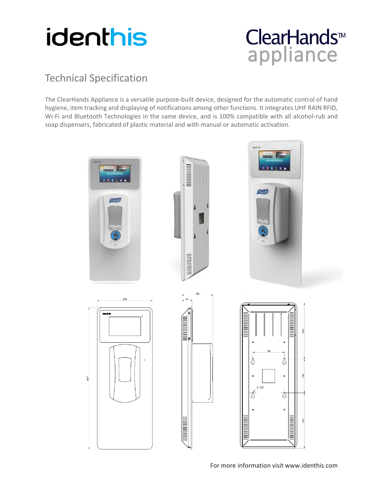

## ClearHands<sup>™</sup><br>appliance

### Technical Specification

The ClearHands Appliance is a versatile purpose-built device, designed for the automatic control of hand hygiene, item tracking and displaying of notifications among other functions. It integrates UHF RAIN RFID, Wi-Fi and Bluetooth Technologies in the same device, and is 100% compatible with all alcohol-rub and soap dispensers, fabricated of plastic material and with manual or automatic activation.